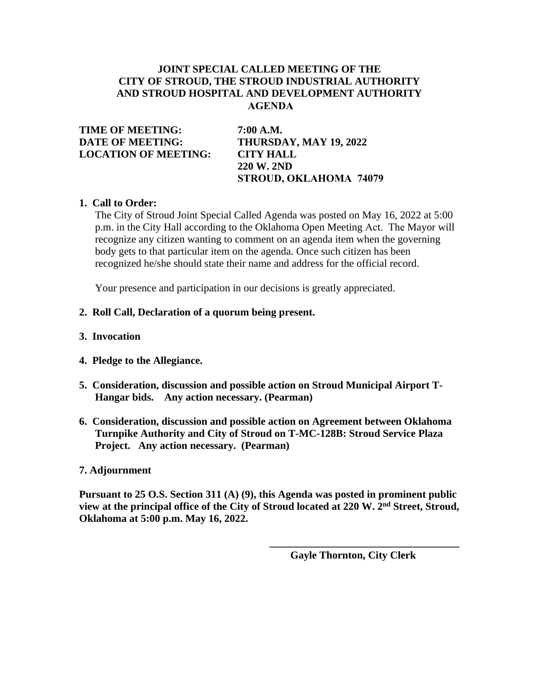# **JOINT SPECIAL CALLED MEETING OF THE CITY OF STROUD, THE STROUD INDUSTRIAL AUTHORITY AND STROUD HOSPITAL AND DEVELOPMENT AUTHORITY AGENDA**

**TIME OF MEETING: 7:00 A.M. DATE OF MEETING: THURSDAY, MAY 19, 2022 LOCATION OF MEETING: CITY HALL**

**220 W. 2ND STROUD, OKLAHOMA 74079**

## **1. Call to Order:**

The City of Stroud Joint Special Called Agenda was posted on May 16, 2022 at 5:00 p.m. in the City Hall according to the Oklahoma Open Meeting Act. The Mayor will recognize any citizen wanting to comment on an agenda item when the governing body gets to that particular item on the agenda. Once such citizen has been recognized he/she should state their name and address for the official record.

Your presence and participation in our decisions is greatly appreciated.

### **2. Roll Call, Declaration of a quorum being present.**

- **3. Invocation**
- **4. Pledge to the Allegiance.**
- **5. Consideration, discussion and possible action on Stroud Municipal Airport T-Hangar bids. Any action necessary. (Pearman)**
- **6. Consideration, discussion and possible action on Agreement between Oklahoma Turnpike Authority and City of Stroud on T-MC-128B: Stroud Service Plaza Project. Any action necessary. (Pearman)**

### **7. Adjournment**

**Pursuant to 25 O.S. Section 311 (A) (9), this Agenda was posted in prominent public view at the principal office of the City of Stroud located at 220 W. 2nd Street, Stroud, Oklahoma at 5:00 p.m. May 16, 2022.**

 **Gayle Thornton, City Clerk**

**\_\_\_\_\_\_\_\_\_\_\_\_\_\_\_\_\_\_\_\_\_\_\_\_\_\_\_\_\_\_\_\_\_\_\_\_**